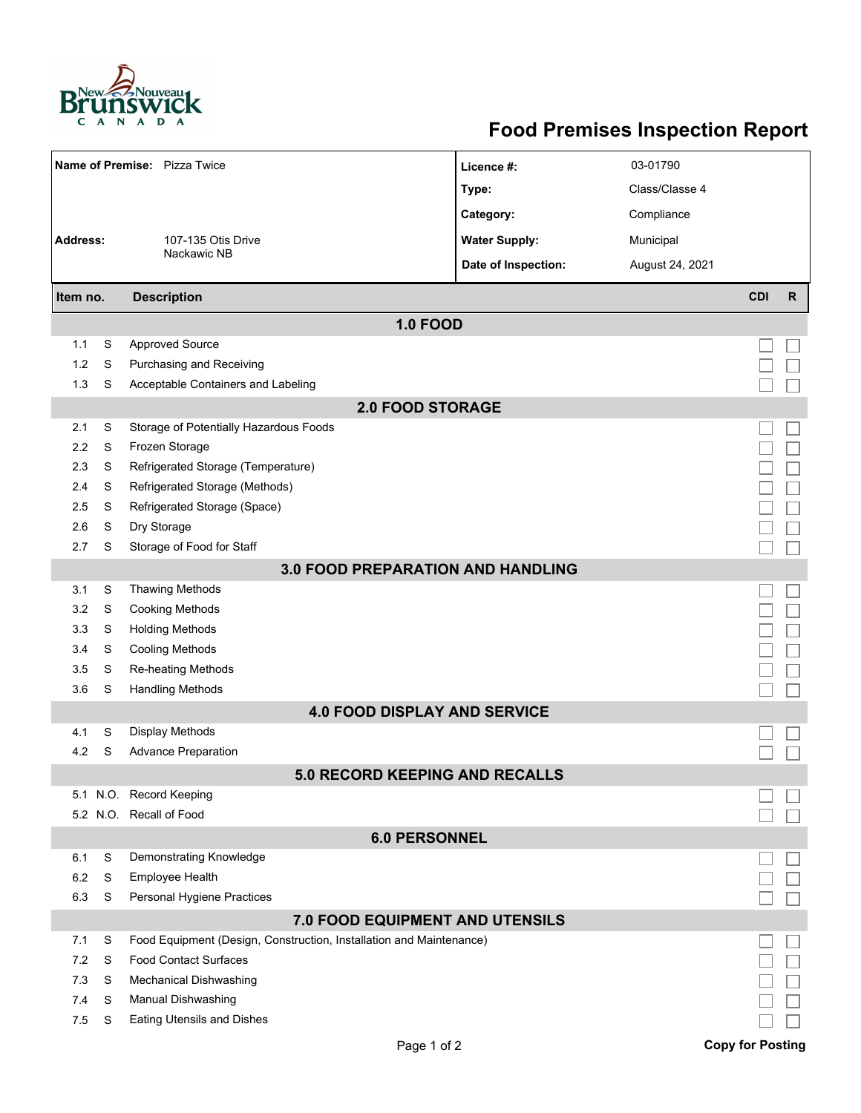

## **Food Premises Inspection Report**

| Name of Premise: Pizza Twice             |        |                                                                     | Licence #:           | 03-01790        |                         |              |  |  |  |
|------------------------------------------|--------|---------------------------------------------------------------------|----------------------|-----------------|-------------------------|--------------|--|--|--|
|                                          |        |                                                                     | Type:                | Class/Classe 4  |                         |              |  |  |  |
|                                          |        |                                                                     | Category:            | Compliance      |                         |              |  |  |  |
| <b>Address:</b>                          |        | 107-135 Otis Drive                                                  | <b>Water Supply:</b> | Municipal       |                         |              |  |  |  |
|                                          |        | Nackawic NB                                                         | Date of Inspection:  | August 24, 2021 |                         |              |  |  |  |
|                                          |        |                                                                     |                      |                 |                         |              |  |  |  |
| Item no.                                 |        | <b>Description</b>                                                  |                      |                 | <b>CDI</b>              | $\mathsf{R}$ |  |  |  |
|                                          |        | <b>1.0 FOOD</b>                                                     |                      |                 |                         |              |  |  |  |
| 1.1                                      | S      | <b>Approved Source</b>                                              |                      |                 |                         |              |  |  |  |
| 1.2                                      | S      | Purchasing and Receiving                                            |                      |                 |                         |              |  |  |  |
| 1.3                                      | S      | Acceptable Containers and Labeling                                  |                      |                 |                         |              |  |  |  |
| <b>2.0 FOOD STORAGE</b>                  |        |                                                                     |                      |                 |                         |              |  |  |  |
| 2.1                                      | S      | Storage of Potentially Hazardous Foods                              |                      |                 |                         |              |  |  |  |
| 2.2                                      | S      | Frozen Storage                                                      |                      |                 |                         |              |  |  |  |
| 2.3                                      | S      | Refrigerated Storage (Temperature)                                  |                      |                 |                         |              |  |  |  |
| 2.4                                      | S      | Refrigerated Storage (Methods)                                      |                      |                 |                         |              |  |  |  |
| 2.5                                      | S      | Refrigerated Storage (Space)                                        |                      |                 |                         |              |  |  |  |
| 2.6                                      | S      | Dry Storage                                                         |                      |                 |                         |              |  |  |  |
| 2.7                                      | S      | Storage of Food for Staff                                           |                      |                 |                         |              |  |  |  |
| <b>3.0 FOOD PREPARATION AND HANDLING</b> |        |                                                                     |                      |                 |                         |              |  |  |  |
| 3.1                                      | S      | <b>Thawing Methods</b>                                              |                      |                 |                         |              |  |  |  |
| 3.2                                      | S      | <b>Cooking Methods</b>                                              |                      |                 |                         |              |  |  |  |
| 3.3                                      | S      | <b>Holding Methods</b>                                              |                      |                 |                         |              |  |  |  |
| 3.4                                      | S      | <b>Cooling Methods</b>                                              |                      |                 |                         |              |  |  |  |
| 3.5                                      | S      | Re-heating Methods                                                  |                      |                 |                         |              |  |  |  |
| 3.6                                      | S      | <b>Handling Methods</b>                                             |                      |                 |                         |              |  |  |  |
| <b>4.0 FOOD DISPLAY AND SERVICE</b>      |        |                                                                     |                      |                 |                         |              |  |  |  |
| 4.1                                      | S      | Display Methods                                                     |                      |                 |                         |              |  |  |  |
| 4.2                                      | S      | <b>Advance Preparation</b>                                          |                      |                 |                         |              |  |  |  |
| <b>5.0 RECORD KEEPING AND RECALLS</b>    |        |                                                                     |                      |                 |                         |              |  |  |  |
|                                          |        | 5.1 N.O. Record Keeping                                             |                      |                 |                         |              |  |  |  |
|                                          |        | 5.2 N.O. Recall of Food                                             |                      |                 |                         |              |  |  |  |
| <b>6.0 PERSONNEL</b>                     |        |                                                                     |                      |                 |                         |              |  |  |  |
| 6.1                                      | S      | Demonstrating Knowledge                                             |                      |                 |                         |              |  |  |  |
| 6.2                                      | S      | <b>Employee Health</b>                                              |                      |                 |                         |              |  |  |  |
| 6.3                                      | S      | Personal Hygiene Practices                                          |                      |                 |                         |              |  |  |  |
| 7.0 FOOD EQUIPMENT AND UTENSILS          |        |                                                                     |                      |                 |                         |              |  |  |  |
| 7.1                                      | S      | Food Equipment (Design, Construction, Installation and Maintenance) |                      |                 |                         |              |  |  |  |
| 7.2                                      | S      | <b>Food Contact Surfaces</b>                                        |                      |                 |                         |              |  |  |  |
| 7.3                                      | S      | <b>Mechanical Dishwashing</b>                                       |                      |                 |                         |              |  |  |  |
| 7.4<br>7.5                               | S<br>S | Manual Dishwashing<br>Eating Utensils and Dishes                    |                      |                 |                         |              |  |  |  |
|                                          |        |                                                                     |                      |                 |                         |              |  |  |  |
|                                          |        | Page 1 of 2                                                         |                      |                 | <b>Copy for Posting</b> |              |  |  |  |